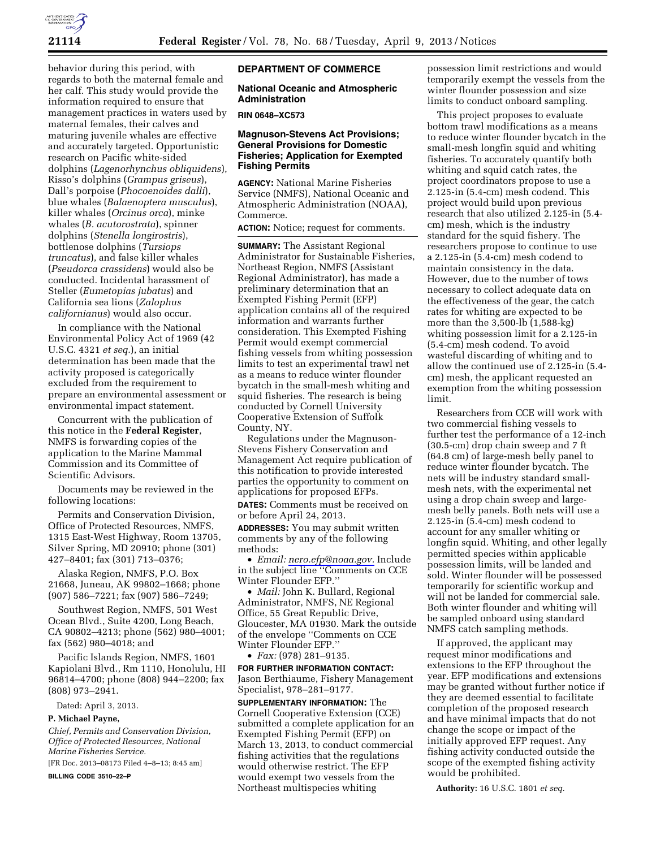

behavior during this period, with regards to both the maternal female and her calf. This study would provide the information required to ensure that management practices in waters used by maternal females, their calves and maturing juvenile whales are effective and accurately targeted. Opportunistic research on Pacific white-sided dolphins (*Lagenorhynchus obliquidens*), Risso's dolphins (*Grampus griseus*), Dall's porpoise (*Phocoenoides dalli*), blue whales (*Balaenoptera musculus*), killer whales (*Orcinus orca*), minke whales (*B. acutorostrata*), spinner dolphins (*Stenella longirostris*), bottlenose dolphins (*Tursiops truncatus*), and false killer whales (*Pseudorca crassidens*) would also be conducted. Incidental harassment of Steller (*Eumetopias jubatus*) and California sea lions (*Zalophus californianus*) would also occur.

In compliance with the National Environmental Policy Act of 1969 (42 U.S.C. 4321 *et seq.*), an initial determination has been made that the activity proposed is categorically excluded from the requirement to prepare an environmental assessment or environmental impact statement.

Concurrent with the publication of this notice in the **Federal Register**, NMFS is forwarding copies of the application to the Marine Mammal Commission and its Committee of Scientific Advisors.

Documents may be reviewed in the following locations:

Permits and Conservation Division, Office of Protected Resources, NMFS, 1315 East-West Highway, Room 13705, Silver Spring, MD 20910; phone (301) 427–8401; fax (301) 713–0376;

Alaska Region, NMFS, P.O. Box 21668, Juneau, AK 99802–1668; phone (907) 586–7221; fax (907) 586–7249;

Southwest Region, NMFS, 501 West Ocean Blvd., Suite 4200, Long Beach, CA 90802–4213; phone (562) 980–4001; fax (562) 980–4018; and

Pacific Islands Region, NMFS, 1601 Kapiolani Blvd., Rm 1110, Honolulu, HI 96814–4700; phone (808) 944–2200; fax (808) 973–2941.

Dated: April 3, 2013.

# **P. Michael Payne,**

*Chief, Permits and Conservation Division, Office of Protected Resources, National Marine Fisheries Service.* 

[FR Doc. 2013–08173 Filed 4–8–13; 8:45 am]

**BILLING CODE 3510–22–P** 

# **DEPARTMENT OF COMMERCE**

# **National Oceanic and Atmospheric Administration**

#### **RIN 0648–XC573**

### **Magnuson-Stevens Act Provisions; General Provisions for Domestic Fisheries; Application for Exempted Fishing Permits**

**AGENCY:** National Marine Fisheries Service (NMFS), National Oceanic and Atmospheric Administration (NOAA), Commerce.

**ACTION:** Notice; request for comments.

**SUMMARY:** The Assistant Regional Administrator for Sustainable Fisheries, Northeast Region, NMFS (Assistant Regional Administrator), has made a preliminary determination that an Exempted Fishing Permit (EFP) application contains all of the required information and warrants further consideration. This Exempted Fishing Permit would exempt commercial fishing vessels from whiting possession limits to test an experimental trawl net as a means to reduce winter flounder bycatch in the small-mesh whiting and squid fisheries. The research is being conducted by Cornell University Cooperative Extension of Suffolk County, NY.

Regulations under the Magnuson-Stevens Fishery Conservation and Management Act require publication of this notification to provide interested parties the opportunity to comment on applications for proposed EFPs. **DATES:** Comments must be received on or before April 24, 2013. **ADDRESSES:** You may submit written comments by any of the following methods:

• *Email: [nero.efp@noaa.gov.](mailto:nero.efp@noaa.gov)* Include in the subject line ''Comments on CCE Winter Flounder EFP.''

• *Mail:* John K. Bullard, Regional Administrator, NMFS, NE Regional Office, 55 Great Republic Drive, Gloucester, MA 01930. Mark the outside of the envelope ''Comments on CCE Winter Flounder EFP.''

• *Fax:* (978) 281–9135.

**FOR FURTHER INFORMATION CONTACT:**  Jason Berthiaume, Fishery Management Specialist, 978–281–9177.

**SUPPLEMENTARY INFORMATION:** The Cornell Cooperative Extension (CCE) submitted a complete application for an Exempted Fishing Permit (EFP) on March 13, 2013, to conduct commercial fishing activities that the regulations would otherwise restrict. The EFP would exempt two vessels from the Northeast multispecies whiting

possession limit restrictions and would temporarily exempt the vessels from the winter flounder possession and size limits to conduct onboard sampling.

This project proposes to evaluate bottom trawl modifications as a means to reduce winter flounder bycatch in the small-mesh longfin squid and whiting fisheries. To accurately quantify both whiting and squid catch rates, the project coordinators propose to use a 2.125-in (5.4-cm) mesh codend. This project would build upon previous research that also utilized 2.125-in (5.4 cm) mesh, which is the industry standard for the squid fishery. The researchers propose to continue to use a 2.125-in (5.4-cm) mesh codend to maintain consistency in the data. However, due to the number of tows necessary to collect adequate data on the effectiveness of the gear, the catch rates for whiting are expected to be more than the 3,500-lb (1,588-kg) whiting possession limit for a 2.125-in (5.4-cm) mesh codend. To avoid wasteful discarding of whiting and to allow the continued use of 2.125-in (5.4 cm) mesh, the applicant requested an exemption from the whiting possession limit.

Researchers from CCE will work with two commercial fishing vessels to further test the performance of a 12-inch (30.5-cm) drop chain sweep and 7 ft (64.8 cm) of large-mesh belly panel to reduce winter flounder bycatch. The nets will be industry standard smallmesh nets, with the experimental net using a drop chain sweep and largemesh belly panels. Both nets will use a 2.125-in (5.4-cm) mesh codend to account for any smaller whiting or longfin squid. Whiting, and other legally permitted species within applicable possession limits, will be landed and sold. Winter flounder will be possessed temporarily for scientific workup and will not be landed for commercial sale. Both winter flounder and whiting will be sampled onboard using standard NMFS catch sampling methods.

If approved, the applicant may request minor modifications and extensions to the EFP throughout the year. EFP modifications and extensions may be granted without further notice if they are deemed essential to facilitate completion of the proposed research and have minimal impacts that do not change the scope or impact of the initially approved EFP request. Any fishing activity conducted outside the scope of the exempted fishing activity would be prohibited.

**Authority:** 16 U.S.C. 1801 *et seq.*